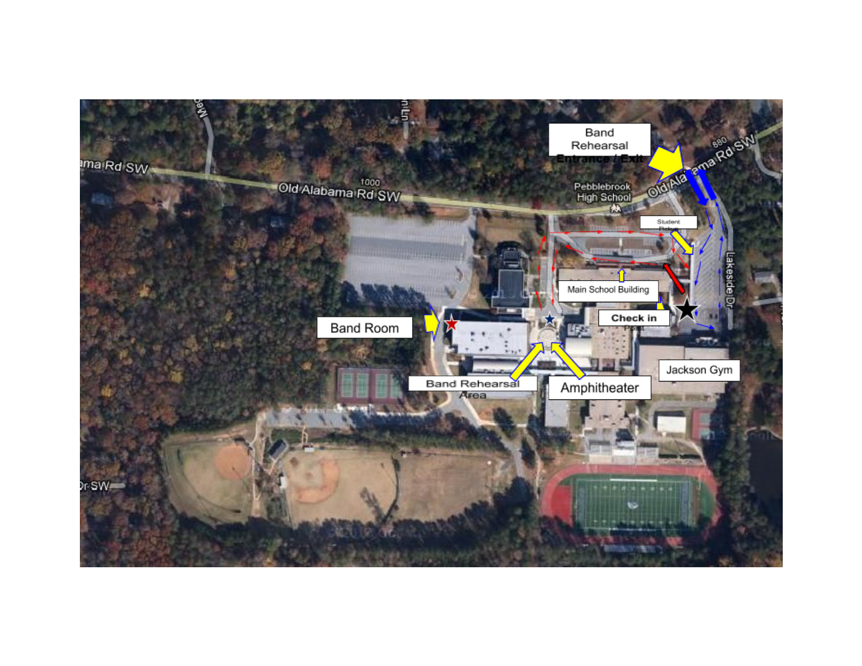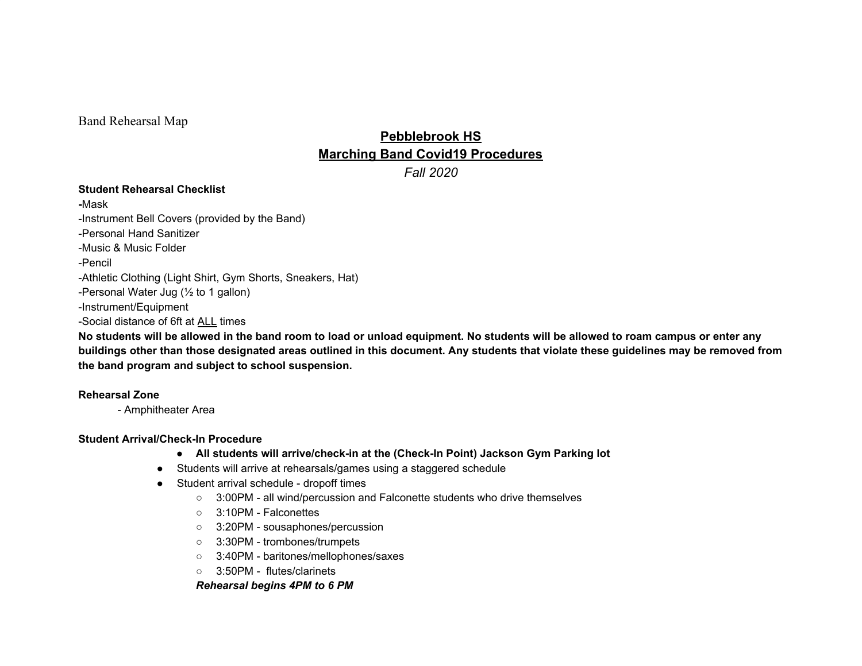Band Rehearsal Map

# **Pebblebrook HS Marching Band Covid19 Procedures**

*Fall 2020*

## **Student Rehearsal Checklist**

**-**Mask -Instrument Bell Covers (provided by the Band) -Personal Hand Sanitizer -Music & Music Folder -Pencil -Athletic Clothing (Light Shirt, Gym Shorts, Sneakers, Hat) -Personal Water Jug (½ to 1 gallon) -Instrument/Equipment -Social distance of 6ft at ALL times

No students will be allowed in the band room to load or unload equipment. No students will be allowed to roam campus or enter any buildings other than those designated areas outlined in this document. Any students that violate these guidelines may be removed from **the band program and subject to school suspension.**

# **Rehearsal Zone**

- Amphitheater Area

# **Student Arrival/Check-In Procedure**

- **● All students will arrive/check-in at the (Check-In Point) Jackson Gym Parking lot**
- Students will arrive at rehearsals/games using a staggered schedule
- Student arrival schedule dropoff times
	- 3:00PM all wind/percussion and Falconette students who drive themselves
	- 3:10PM Falconettes
	- 3:20PM sousaphones/percussion
	- 3:30PM trombones/trumpets
	- 3:40PM baritones/mellophones/saxes
	- 3:50PM flutes/clarinets

*Rehearsal begins 4PM to 6 PM*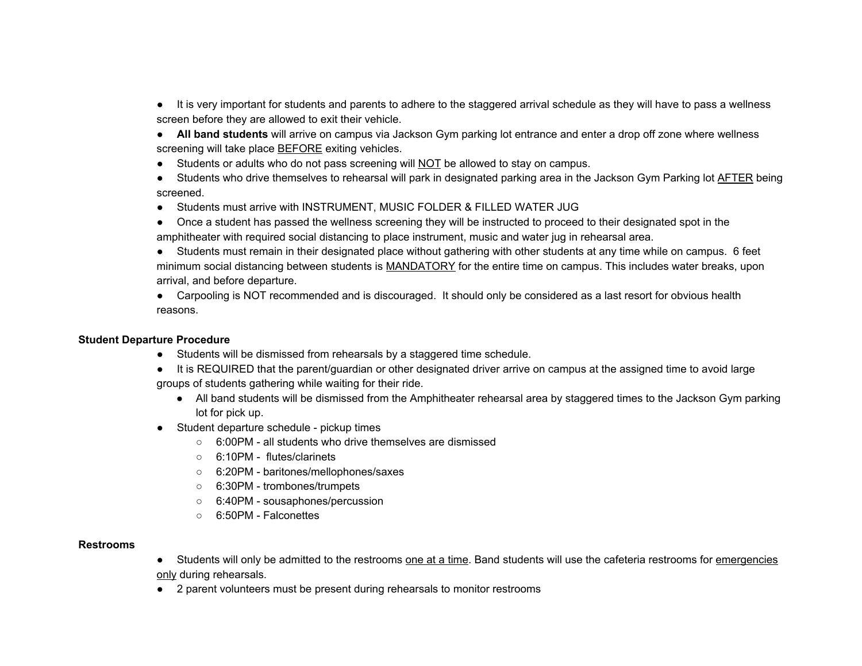- It is very important for students and parents to adhere to the staggered arrival schedule as they will have to pass a wellness screen before they are allowed to exit their vehicle.
- **All band students** will arrive on campus via Jackson Gym parking lot entrance and enter a drop off zone where wellness screening will take place **BEFORE** exiting vehicles.
- Students or adults who do not pass screening will NOT be allowed to stay on campus.
- Students who drive themselves to rehearsal will park in designated parking area in the Jackson Gym Parking lot AFTER being screened.
- Students must arrive with INSTRUMENT, MUSIC FOLDER & FILLED WATER JUG
- Once a student has passed the wellness screening they will be instructed to proceed to their designated spot in the amphitheater with required social distancing to place instrument, music and water jug in rehearsal area.
- Students must remain in their designated place without gathering with other students at any time while on campus. 6 feet minimum social distancing between students is MANDATORY for the entire time on campus. This includes water breaks, upon arrival, and before departure.

• Carpooling is NOT recommended and is discouraged. It should only be considered as a last resort for obvious health reasons.

## **Student Departure Procedure**

- Students will be dismissed from rehearsals by a staggered time schedule.
- It is REQUIRED that the parent/guardian or other designated driver arrive on campus at the assigned time to avoid large groups of students gathering while waiting for their ride.
	- All band students will be dismissed from the Amphitheater rehearsal area by staggered times to the Jackson Gym parking lot for pick up.
- Student departure schedule pickup times
	- 6:00PM all students who drive themselves are dismissed
	- 6:10PM flutes/clarinets
	- 6:20PM baritones/mellophones/saxes
	- 6:30PM trombones/trumpets
	- 6:40PM sousaphones/percussion
	- 6:50PM Falconettes

#### **Restrooms**

- Students will only be admitted to the restrooms one at a time. Band students will use the cafeteria restrooms for emergencies only during rehearsals.
- 2 parent volunteers must be present during rehearsals to monitor restrooms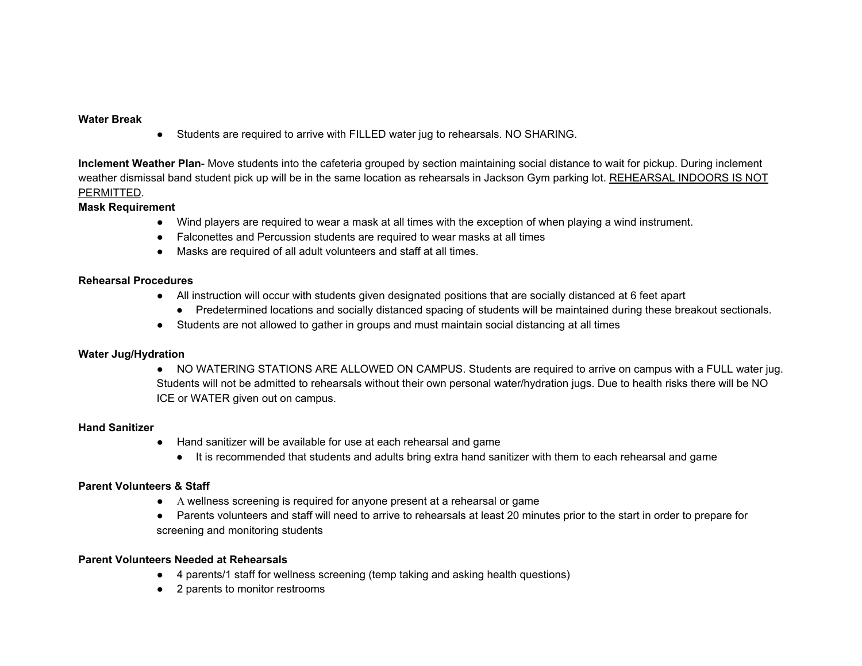#### **Water Break**

● Students are required to arrive with FILLED water jug to rehearsals. NO SHARING.

**Inclement Weather Plan**- Move students into the cafeteria grouped by section maintaining social distance to wait for pickup. During inclement weather dismissal band student pick up will be in the same location as rehearsals in Jackson Gym parking lot. REHEARSAL INDOORS IS NOT PERMITTED.

#### **Mask Requirement**

- Wind players are required to wear a mask at all times with the exception of when playing a wind instrument.
- Falconettes and Percussion students are required to wear masks at all times
- Masks are required of all adult volunteers and staff at all times.

#### **Rehearsal Procedures**

- All instruction will occur with students given designated positions that are socially distanced at 6 feet apart
	- Predetermined locations and socially distanced spacing of students will be maintained during these breakout sectionals.
- Students are not allowed to gather in groups and must maintain social distancing at all times

## **Water Jug/Hydration**

● NO WATERING STATIONS ARE ALLOWED ON CAMPUS. Students are required to arrive on campus with a FULL water jug. Students will not be admitted to rehearsals without their own personal water/hydration jugs. Due to health risks there will be NO ICE or WATER given out on campus.

## **Hand Sanitizer**

- Hand sanitizer will be available for use at each rehearsal and game
	- It is recommended that students and adults bring extra hand sanitizer with them to each rehearsal and game

## **Parent Volunteers & Staff**

- A wellness screening is required for anyone present at a rehearsal or game
- Parents volunteers and staff will need to arrive to rehearsals at least 20 minutes prior to the start in order to prepare for screening and monitoring students

## **Parent Volunteers Needed at Rehearsals**

- 4 parents/1 staff for wellness screening (temp taking and asking health questions)
- 2 parents to monitor restrooms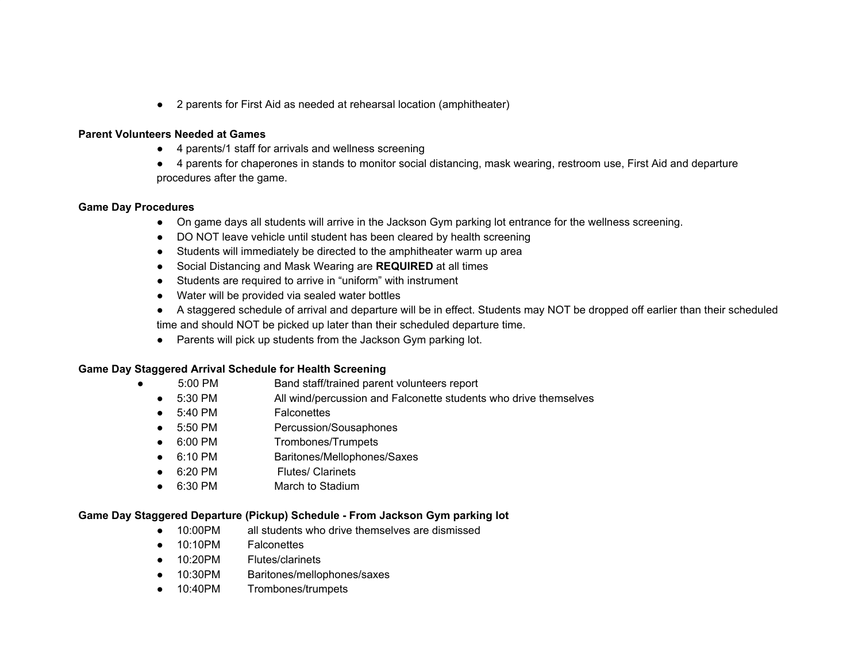● 2 parents for First Aid as needed at rehearsal location (amphitheater)

#### **Parent Volunteers Needed at Games**

- 4 parents/1 staff for arrivals and wellness screening
- 4 parents for chaperones in stands to monitor social distancing, mask wearing, restroom use, First Aid and departure procedures after the game.

#### **Game Day Procedures**

- On game days all students will arrive in the Jackson Gym parking lot entrance for the wellness screening.
- DO NOT leave vehicle until student has been cleared by health screening
- Students will immediately be directed to the amphitheater warm up area
- Social Distancing and Mask Wearing are **REQUIRED** at all times
- Students are required to arrive in "uniform" with instrument
- Water will be provided via sealed water bottles
- A staggered schedule of arrival and departure will be in effect. Students may NOT be dropped off earlier than their scheduled time and should NOT be picked up later than their scheduled departure time.
- Parents will pick up students from the Jackson Gym parking lot.

## **Game Day Staggered Arrival Schedule for Health Screening**

- **●** 5:00 PM Band staff/trained parent volunteers report
- 5:30 PM All wind/percussion and Falconette students who drive themselves
- 5:40 PM Falconettes
- 5:50 PM Percussion/Sousaphones
- 6:00 PM Trombones/Trumpets
- 6:10 PM Baritones/Mellophones/Saxes
- 6:20 PM Flutes/ Clarinets
- 6:30 PM March to Stadium

## **Game Day Staggered Departure (Pickup) Schedule - From Jackson Gym parking lot**

- 10:00PM all students who drive themselves are dismissed
- 10:10PM Falconettes
- 10:20PM Flutes/clarinets
- 10:30PM Baritones/mellophones/saxes
- 10:40PM Trombones/trumpets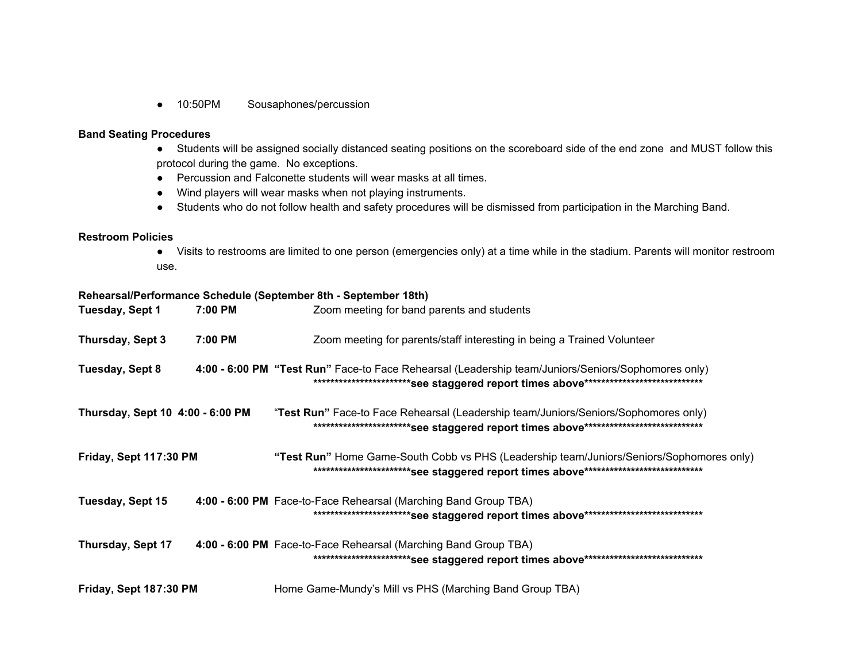● 10:50PM Sousaphones/percussion

#### **Band Seating Procedures**

- Students will be assigned socially distanced seating positions on the scoreboard side of the end zone and MUST follow this protocol during the game. No exceptions.
- Percussion and Falconette students will wear masks at all times.
- Wind players will wear masks when not playing instruments.
- Students who do not follow health and safety procedures will be dismissed from participation in the Marching Band.

#### **Restroom Policies**

● Visits to restrooms are limited to one person (emergencies only) at a time while in the stadium. Parents will monitor restroom use.

#### **Rehearsal/Performance Schedule (September 8th - September 18th)**

| Tuesday, Sept 1                  | 7:00 PM | Zoom meeting for band parents and students                                                                                                                                   |
|----------------------------------|---------|------------------------------------------------------------------------------------------------------------------------------------------------------------------------------|
| Thursday, Sept 3                 | 7:00 PM | Zoom meeting for parents/staff interesting in being a Trained Volunteer                                                                                                      |
| Tuesday, Sept 8                  |         | 4:00 - 6:00 PM "Test Run" Face-to Face Rehearsal (Leadership team/Juniors/Seniors/Sophomores only)                                                                           |
| Thursday, Sept 10 4:00 - 6:00 PM |         | "Test Run" Face-to Face Rehearsal (Leadership team/Juniors/Seniors/Sophomores only)<br>**************************See staggered report times above*************************** |
| Friday, Sept 117:30 PM           |         | "Test Run" Home Game-South Cobb vs PHS (Leadership team/Juniors/Seniors/Sophomores only)                                                                                     |
| Tuesday, Sept 15                 |         | 4:00 - 6:00 PM Face-to-Face Rehearsal (Marching Band Group TBA)<br>***************************See staggered report times above*****************************                  |
| Thursday, Sept 17                |         | 4:00 - 6:00 PM Face-to-Face Rehearsal (Marching Band Group TBA)<br>**************************See staggered report times above***************************                     |
| Friday, Sept 187:30 PM           |         | Home Game-Mundy's Mill vs PHS (Marching Band Group TBA)                                                                                                                      |